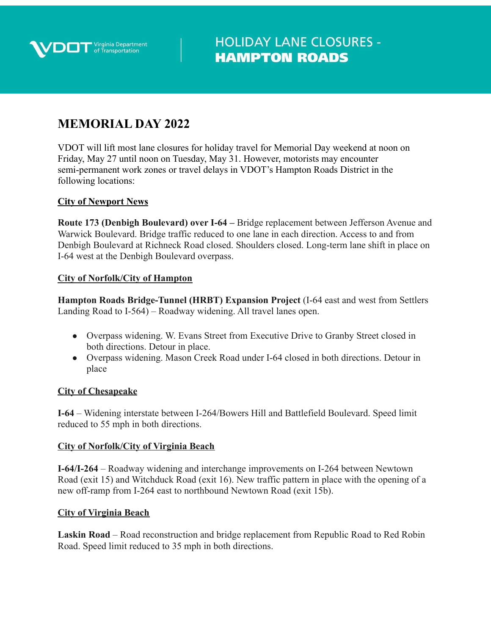

**HOLIDAY LANE CLOSURES -HAMPTON ROADS** 

# **MEMORIAL DAY 2022**

VDOT will lift most lane closures for holiday travel for Memorial Day weekend at noon on Friday, May 27 until noon on Tuesday, May 31. However, motorists may encounter semi-permanent work zones or travel delays in VDOT's Hampton Roads District in the following locations:

# **City of Newport News**

**Route 173 (Denbigh Boulevard) over I-64 –** Bridge replacement between Jefferson Avenue and Warwick Boulevard. Bridge traffic reduced to one lane in each direction. Access to and from Denbigh Boulevard at Richneck Road closed. Shoulders closed. Long-term lane shift in place on I-64 west at the Denbigh Boulevard overpass.

# **City of Norfolk/City of Hampton**

**Hampton Roads Bridge-Tunnel (HRBT) Expansion Project** (I-64 east and west from Settlers Landing Road to I-564) – Roadway widening. All travel lanes open.

- Overpass widening. W. Evans Street from Executive Drive to Granby Street closed in both directions. Detour in place.
- Overpass widening. Mason Creek Road under I-64 closed in both directions. Detour in place

# **City of Chesapeake**

**I-64** – Widening interstate between I-264/Bowers Hill and Battlefield Boulevard. Speed limit reduced to 55 mph in both directions.

# **City of Norfolk/City of Virginia Beach**

**I-64/I-264** – Roadway widening and interchange improvements on I-264 between Newtown Road (exit 15) and Witchduck Road (exit 16). New traffic pattern in place with the opening of a new off-ramp from I-264 east to northbound Newtown Road (exit 15b).

# **City of Virginia Beach**

**Laskin Road** – Road reconstruction and bridge replacement from Republic Road to Red Robin Road. Speed limit reduced to 35 mph in both directions.